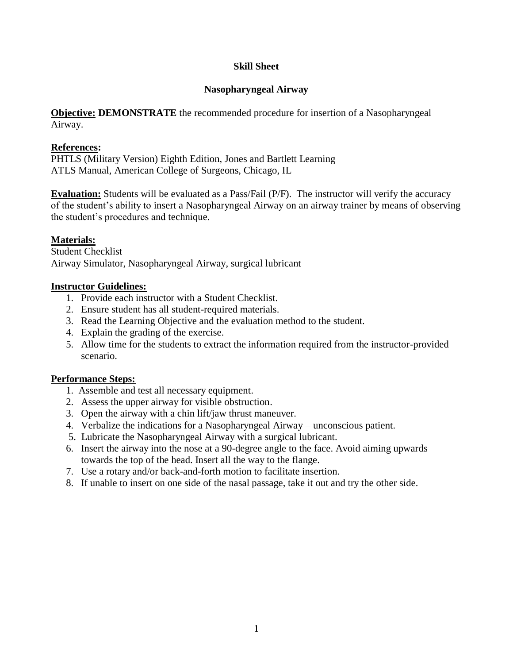#### **Skill Sheet**

### **Nasopharyngeal Airway**

**Objective: DEMONSTRATE** the recommended procedure for insertion of a Nasopharyngeal Airway.

### **References:**

PHTLS (Military Version) Eighth Edition, Jones and Bartlett Learning ATLS Manual, American College of Surgeons, Chicago, IL

**Evaluation:** Students will be evaluated as a Pass/Fail (P/F). The instructor will verify the accuracy of the student's ability to insert a Nasopharyngeal Airway on an airway trainer by means of observing the student's procedures and technique.

## **Materials:**

Student Checklist Airway Simulator, Nasopharyngeal Airway, surgical lubricant

### **Instructor Guidelines:**

- 1. Provide each instructor with a Student Checklist.
- 2. Ensure student has all student-required materials.
- 3. Read the Learning Objective and the evaluation method to the student.
- 4. Explain the grading of the exercise.
- 5. Allow time for the students to extract the information required from the instructor-provided scenario.

#### **Performance Steps:**

- 1. Assemble and test all necessary equipment.
- 2. Assess the upper airway for visible obstruction.
- 3. Open the airway with a chin lift/jaw thrust maneuver.
- 4. Verbalize the indications for a Nasopharyngeal Airway unconscious patient.
- 5. Lubricate the Nasopharyngeal Airway with a surgical lubricant.
- 6. Insert the airway into the nose at a 90-degree angle to the face. Avoid aiming upwards towards the top of the head. Insert all the way to the flange.
- 7. Use a rotary and/or back-and-forth motion to facilitate insertion.
- 8. If unable to insert on one side of the nasal passage, take it out and try the other side.